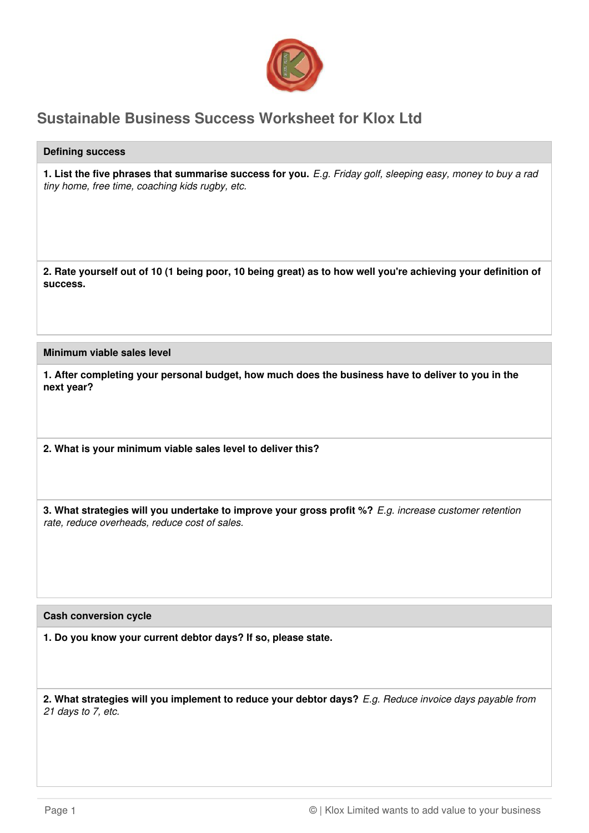

## **Sustainable Business Success Worksheet for Klox Ltd**

## **Defining success**

**1. List the five phrases that summarise success for you.** E.g. Friday golf, sleeping easy, money to buy a rad tiny home, free time, coaching kids rugby, etc.

**2. Rate yourself out of 10 (1 being poor, 10 being great) as to how well you're achieving your definition of success.**

**Minimum viable sales level**

**1. After completing your personal budget, how much does the business have to deliver to you in the next year?**

**2. What is your minimum viable sales level to deliver this?**

**3. What strategies will you undertake to improve your gross profit %?** E.g. increase customer retention rate, reduce overheads, reduce cost of sales.

## **Cash conversion cycle**

**1. Do you know your current debtor days? If so, please state.**

**2. What strategies will you implement to reduce your debtor days?** E.g. Reduce invoice days payable from 21 days to 7, etc.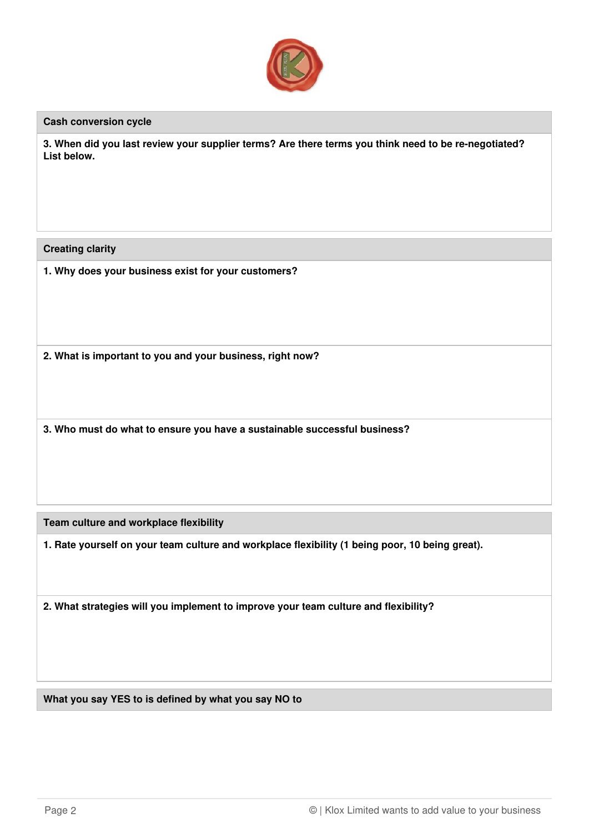

## **Cash conversion cycle**

**3. When did you last review your supplier terms? Are there terms you think need to be re-negotiated? List below.**

**Creating clarity**

**1. Why does your business exist for your customers?**

**2. What is important to you and your business, right now?**

**3. Who must do what to ensure you have a sustainable successful business?**

**Team culture and workplace flexibility**

**1. Rate yourself on your team culture and workplace flexibility (1 being poor, 10 being great).**

**2. What strategies will you implement to improve your team culture and flexibility?**

**What you say YES to is defined by what you say NO to**